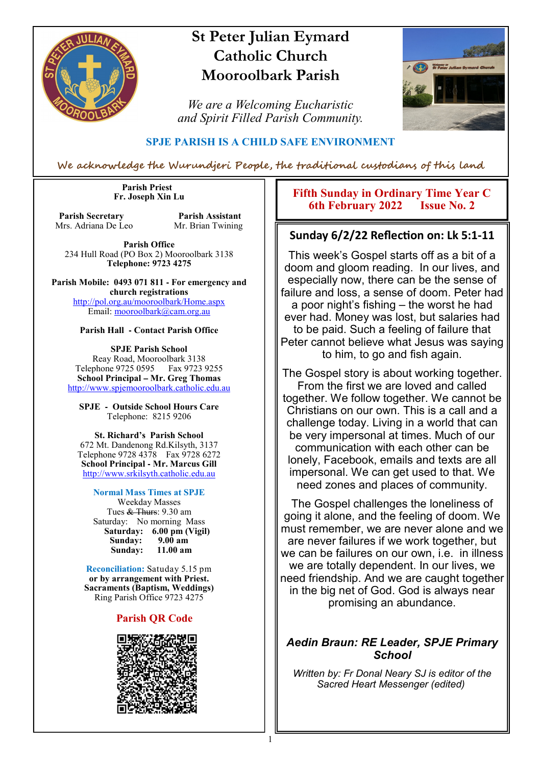

# **St Peter Julian Eymard Catholic Church Mooroolbark Parish**

*We are a Welcoming Eucharistic and Spirit Filled Parish Community.*



### **SPJE PARISH IS A CHILD SAFE ENVIRONMENT**

We acknowledge the Wurundjeri People, the traditional custodians of this land

1

 **Parish Priest Fr. Joseph Xin Lu** 

**Parish Secretary Parish Assistant**<br>Mrs. Adriana De Leo Mr. Brian Twining Mrs. Adriana De Leo

**Parish Office** 234 Hull Road (PO Box 2) Mooroolbark 3138 **Telephone: 9723 4275** 

**Parish Mobile: 0493 071 811 - For emergency and church registrations** http://pol.org.au/mooroolbark/Home.aspx Email: mooroolbark@cam.org.au

#### **Parish Hall - Contact Parish Office**

**SPJE Parish School** Reay Road, Mooroolbark 3138 Telephone 9725 0595 Fax 9723 9255 **School Principal – Mr. Greg Thomas** http://www.spjemooroolbark.catholic.edu.au

**SPJE - Outside School Hours Care** Telephone: 8215 9206

#### **St. Richard's Parish School**

672 Mt. Dandenong Rd.Kilsyth, 3137 Telephone 9728 4378 Fax 9728 6272 **School Principal - Mr. Marcus Gill** http://www.srkilsyth.catholic.edu.au

#### **Normal Mass Times at SPJE**

Weekday Masses Tues & Thurs: 9.30 am Saturday: No morning Mass  **Saturday: 6.00 pm (Vigil) Sunday: 9.00 am** Sunday:

**Reconciliation:** Satuday 5.15 pm **or by arrangement with Priest. Sacraments (Baptism, Weddings)**  Ring Parish Office 9723 4275

#### **Parish QR Code**



**Fifth Sunday in Ordinary Time Year C 6th February 2022** 

#### **Sunday 6/2/22 Reflection on: Lk 5:1-11**

This week's Gospel starts off as a bit of a doom and gloom reading. In our lives, and especially now, there can be the sense of failure and loss, a sense of doom. Peter had a poor night's fishing – the worst he had ever had. Money was lost, but salaries had to be paid. Such a feeling of failure that Peter cannot believe what Jesus was saying to him, to go and fish again.

The Gospel story is about working together. From the first we are loved and called together. We follow together. We cannot be Christians on our own. This is a call and a challenge today. Living in a world that can be very impersonal at times. Much of our communication with each other can be lonely, Facebook, emails and texts are all impersonal. We can get used to that. We need zones and places of community.

The Gospel challenges the loneliness of going it alone, and the feeling of doom. We must remember, we are never alone and we are never failures if we work together, but we can be failures on our own, i.e. in illness we are totally dependent. In our lives, we need friendship. And we are caught together in the big net of God. God is always near promising an abundance.

#### *Aedin Braun: RE Leader, SPJE Primary School*

*Written by: Fr Donal Neary SJ is editor of the Sacred Heart Messenger (edited)*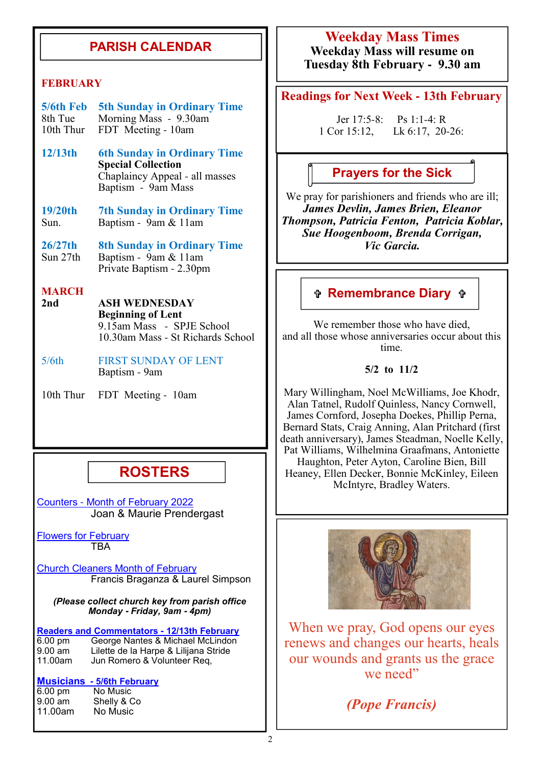## **PARISH CALENDAR**

#### **FEBRUARY**

| 5/6th Feb 5th Sunday in Ordinary Time |
|---------------------------------------|
| 8th Tue Morning Mass - 9.30am         |
| 10th Thur FDT Meeting - 10am          |

- **12/13th 6th Sunday in Ordinary Time Special Collection** Chaplaincy Appeal - all masses Baptism - 9am Mass
- **19/20th 7th Sunday in Ordinary Time** Sun.Baptism - 9am & 11am

**26/27th** 8th Sunday in Ordinary Time<br>Sun 27th Baptism - 9am & 11am Baptism - 9am & 11am Private Baptism - 2.30pm

# **MARCH**

- **2nd ASH WEDNESDAY Beginning of Lent** 9.15am Mass - SPJE School 10.30am Mass - St Richards School
- 5/6th FIRST SUNDAY OF LENT Baptism - 9am

10th Thur FDT Meeting - 10am

## **ROSTERS**

Counters - Month of February 2022 Joan & Maurie Prendergast

Flowers for February **TBA** 

Church Cleaners Month of February Francis Braganza & Laurel Simpson

*(Please collect church key from parish office Monday* **-** *Friday, 9am* **-** *4pm)*

**Readers and Commentators - 12/13th February**<br>6.00 pm George Nantes & Michael McLindon 6.00 pm George Nantes & Michael McLindon 9.00 am Lilette de la Harpe & Lilijana Stride Jun Romero & Volunteer Req,

#### **Musicians - 5/6th February**

| $6.00 \text{ pm}$ | No Music    |
|-------------------|-------------|
| $9.00 \text{ am}$ | Shelly & Co |
| 11.00am           | No Music    |

### **Weekday Mass Times Weekday Mass will resume on Tuesday 8th February - 9.30 am**

#### **Readings for Next Week - 13th February**

Jer 17:5-8: Ps 1:1-4: R 1 Cor 15:12, Lk 6:17, 20-26:

### **Prayers for the Sick**

We pray for parishioners and friends who are ill; *James Devlin, James Brien, Eleanor Thompson, Patricia Fenton, Patricia Koblar, Sue Hoogenboom, Brenda Corrigan, Vic Garcia.*

### **Remembrance Diary**

We remember those who have died. and all those whose anniversaries occur about this time.

#### **5/2 to 11/2**

Mary Willingham, Noel McWilliams, Joe Khodr, Alan Tatnel, Rudolf Quinless, Nancy Cornwell, James Cornford, Josepha Doekes, Phillip Perna, Bernard Stats, Craig Anning, Alan Pritchard (first death anniversary), James Steadman, Noelle Kelly, Pat Williams, Wilhelmina Graafmans, Antoniette Haughton, Peter Ayton, Caroline Bien, Bill Heaney, Ellen Decker, Bonnie McKinley, Eileen McIntyre, Bradley Waters.



When we pray, God opens our eyes renews and changes our hearts, heals our wounds and grants us the grace we need"

*(Pope Francis)*